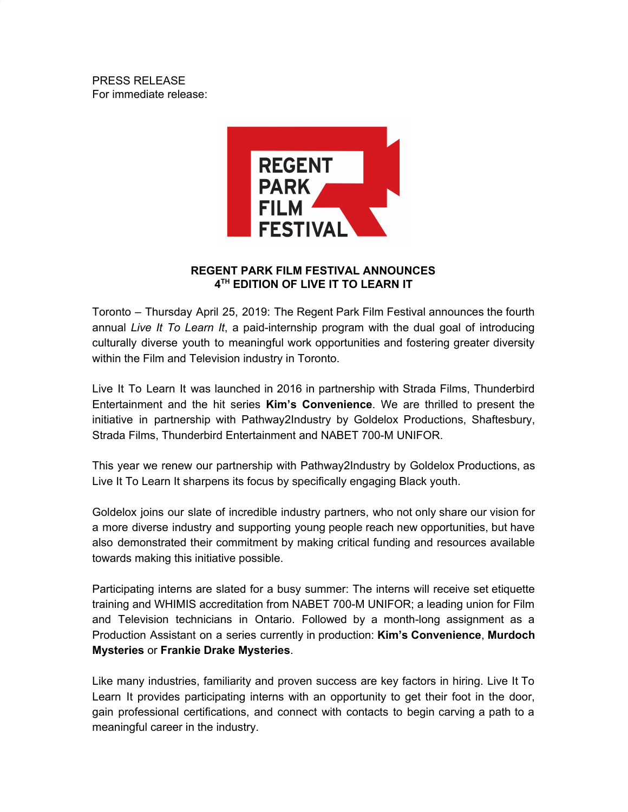PRESS RELEASE For immediate release:



## **REGENT PARK FILM FESTIVAL ANNOUNCES 4 TH EDITION OF LIVE IT TO LEARN IT**

Toronto – Thursday April 25, 2019: The Regent Park Film Festival announces the fourth annual *Live It To Learn It*, a paid-internship program with the dual goal of introducing culturally diverse youth to meaningful work opportunities and fostering greater diversity within the Film and Television industry in Toronto.

Live It To Learn It was launched in 2016 in partnership with Strada Films, Thunderbird Entertainment and the hit series **Kim's Convenience**. We are thrilled to present the initiative in partnership with Pathway2Industry by Goldelox Productions, Shaftesbury, Strada Films, Thunderbird Entertainment and NABET 700-M UNIFOR.

This year we renew our partnership with Pathway2Industry by Goldelox Productions, as Live It To Learn It sharpens its focus by specifically engaging Black youth.

Goldelox joins our slate of incredible industry partners, who not only share our vision for a more diverse industry and supporting young people reach new opportunities, but have also demonstrated their commitment by making critical funding and resources available towards making this initiative possible.

Participating interns are slated for a busy summer: The interns will receive set etiquette training and WHIMIS accreditation from NABET 700-M UNIFOR; a leading union for Film and Television technicians in Ontario. Followed by a month-long assignment as a Production Assistant on a series currently in production: **Kim's Convenience**, **Murdoch Mysteries** or **Frankie Drake Mysteries**.

Like many industries, familiarity and proven success are key factors in hiring. Live It To Learn It provides participating interns with an opportunity to get their foot in the door, gain professional certifications, and connect with contacts to begin carving a path to a meaningful career in the industry.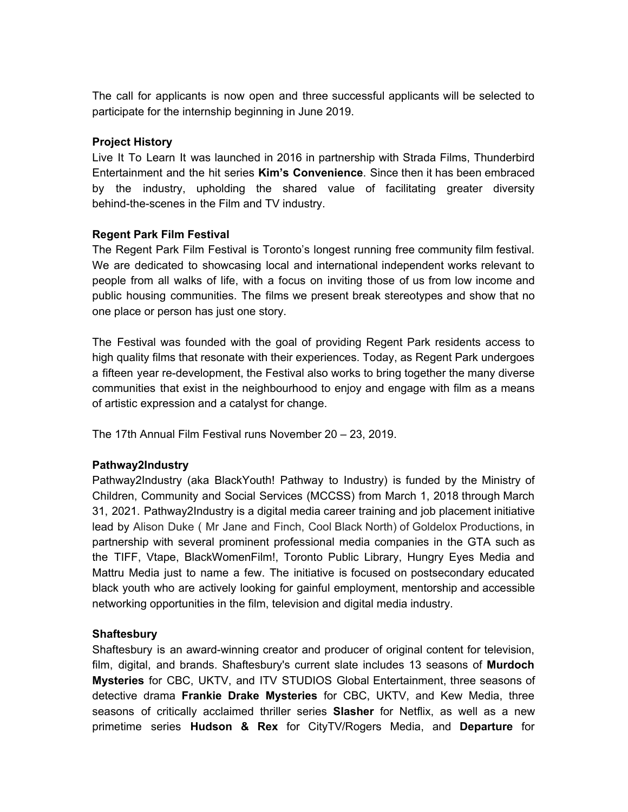The call for applicants is now open and three successful applicants will be selected to participate for the internship beginning in June 2019.

### **Project History**

Live It To Learn It was launched in 2016 in partnership with Strada Films, Thunderbird Entertainment and the hit series **Kim's Convenience**. Since then it has been embraced by the industry, upholding the shared value of facilitating greater diversity behind-the-scenes in the Film and TV industry.

## **Regent Park Film Festival**

The Regent Park Film Festival is Toronto's longest running free community film festival. We are dedicated to showcasing local and international independent works relevant to people from all walks of life, with a focus on inviting those of us from low income and public housing communities. The films we present break stereotypes and show that no one place or person has just one story.

The Festival was founded with the goal of providing Regent Park residents access to high quality films that resonate with their experiences. Today, as Regent Park undergoes a fifteen year re-development, the Festival also works to bring together the many diverse communities that exist in the neighbourhood to enjoy and engage with film as a means of artistic expression and a catalyst for change.

The 17th Annual Film Festival runs November 20 – 23, 2019.

# **Pathway2Industry**

Pathway2Industry (aka BlackYouth! Pathway to Industry) is funded by the Ministry of Children, Community and Social Services (MCCSS) from March 1, 2018 through March 31, 2021. Pathway2Industry is a digital media career training and job placement initiative lead by Alison Duke ( Mr Jane and Finch, Cool Black North) of Goldelox Productions, in partnership with several prominent professional media companies in the GTA such as the TIFF, Vtape, BlackWomenFilm!, Toronto Public Library, Hungry Eyes Media and Mattru Media just to name a few. The initiative is focused on postsecondary educated black youth who are actively looking for gainful employment, mentorship and accessible networking opportunities in the film, television and digital media industry.

#### **Shaftesbury**

Shaftesbury is an award-winning creator and producer of original content for television, film, digital, and brands. Shaftesbury's current slate includes 13 seasons of **Murdoch Mysteries** for CBC, UKTV, and ITV STUDIOS Global Entertainment, three seasons of detective drama **Frankie Drake Mysteries** for CBC, UKTV, and Kew Media, three seasons of critically acclaimed thriller series **Slasher** for Netflix, as well as a new primetime series **Hudson & Rex** for CityTV/Rogers Media, and **Departure** for